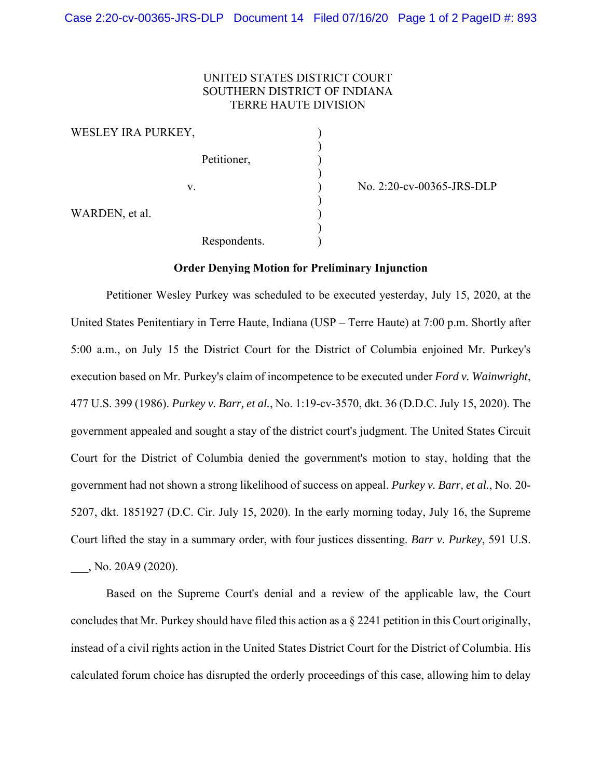## UNITED STATES DISTRICT COURT SOUTHERN DISTRICT OF INDIANA TERRE HAUTE DIVISION

WESLEY IRA PURKEY,  $)$ Petitioner, (1)  $)$  $)$ WARDEN, et al.  $\qquad \qquad$  )  $)$ Respondents.

v. ) No. 2:20-cv-00365-JRS-DLP

## **Order Denying Motion for Preliminary Injunction**

Petitioner Wesley Purkey was scheduled to be executed yesterday, July 15, 2020, at the United States Penitentiary in Terre Haute, Indiana (USP – Terre Haute) at 7:00 p.m. Shortly after 5:00 a.m., on July 15 the District Court for the District of Columbia enjoined Mr. Purkey's execution based on Mr. Purkey's claim of incompetence to be executed under *Ford v. Wainwright*, 477 U.S. 399 (1986). *Purkey v. Barr, et al.*, No. 1:19-cv-3570, dkt. 36 (D.D.C. July 15, 2020). The government appealed and sought a stay of the district court's judgment. The United States Circuit Court for the District of Columbia denied the government's motion to stay, holding that the government had not shown a strong likelihood of success on appeal. *Purkey v. Barr, et al.*, No. 20- 5207, dkt. 1851927 (D.C. Cir. July 15, 2020). In the early morning today, July 16, the Supreme Court lifted the stay in a summary order, with four justices dissenting. *Barr v. Purkey*, 591 U.S. \_\_\_, No. 20A9 (2020).

Based on the Supreme Court's denial and a review of the applicable law, the Court concludes that Mr. Purkey should have filed this action as a § 2241 petition in this Court originally, instead of a civil rights action in the United States District Court for the District of Columbia. His calculated forum choice has disrupted the orderly proceedings of this case, allowing him to delay